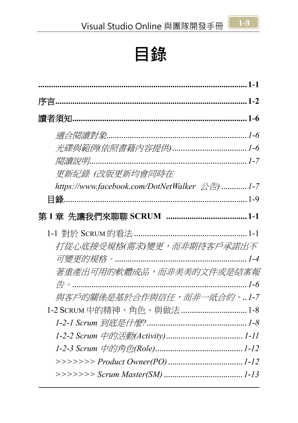

<span id="page-0-0"></span>

| 更新紀錄(改版更新均會同時在                                                                                    |  |
|---------------------------------------------------------------------------------------------------|--|
| https://www.facebook.com/DotNetWalker $\triangle \stackrel{\leftrightarrow}{\leftrightarrow}$ 1-7 |  |
|                                                                                                   |  |
|                                                                                                   |  |
|                                                                                                   |  |
| 打從心底接受規格(需求)變更,而非期待客戶承諾出不                                                                         |  |
|                                                                                                   |  |
| 著重產出可用的軟體成品,而非美美的文件或是結案報                                                                          |  |
|                                                                                                   |  |
| 與客戶的關係是基於合作與信任,而非一紙合約。1-7                                                                         |  |
| 1-2 SCRUM 中的精神、角色、與做法 1-8                                                                         |  |
|                                                                                                   |  |
|                                                                                                   |  |
|                                                                                                   |  |
|                                                                                                   |  |
|                                                                                                   |  |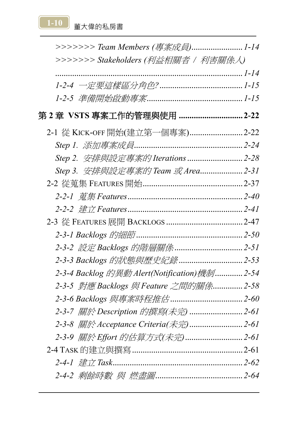[1-10]<br>董大偉的私房書

| >>>>>>>> Team Members (專案成員)1-14             |  |
|----------------------------------------------|--|
| >>>>>>> Stakeholders (利益相關者 / 利害關係人)         |  |
|                                              |  |
|                                              |  |
|                                              |  |
|                                              |  |
| 2-1 從 KICK-OFF 開始(建立第一個專案)  2-22             |  |
|                                              |  |
| Step 2. 安排與設定專案的 Iterations 2-28             |  |
| Step 3. 安排與設定專案的 Team 或 Area 2-31            |  |
|                                              |  |
|                                              |  |
|                                              |  |
|                                              |  |
|                                              |  |
|                                              |  |
|                                              |  |
| 2-3-4 Backlog 的異動 Alert(Notification)機制 2-54 |  |
| 2-3-5 對應 Backlogs 與 Feature 之間的關係 2-58       |  |
|                                              |  |
| 2-3-7 關於 Description 的撰寫(未完)  2-61           |  |
|                                              |  |
|                                              |  |
|                                              |  |
|                                              |  |
|                                              |  |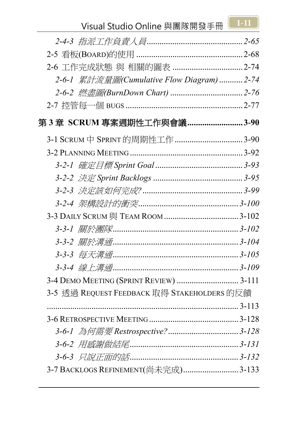

| 2-6-1 累計流量圖(Cumulative Flow Diagram) 2-74   |  |
|---------------------------------------------|--|
|                                             |  |
|                                             |  |
| 第 3 章  SCRUM 專案週期性工作與會議3-90                 |  |
| 3-1 SCRUM 中 SPRINT 的周期性工作 ……………………………3-90   |  |
|                                             |  |
|                                             |  |
|                                             |  |
|                                             |  |
|                                             |  |
|                                             |  |
|                                             |  |
|                                             |  |
|                                             |  |
|                                             |  |
| 3-4 DEMO MEETING (SPRINT REVIEW)  3-111     |  |
| 3-5 透過 REQUEST FEEDBACK 取得 STAKEHOLDERS 的反饋 |  |
|                                             |  |
|                                             |  |
|                                             |  |
|                                             |  |
|                                             |  |
| 3-7 BACKLOGS REFINEMENT(尚未完成)3-133          |  |
|                                             |  |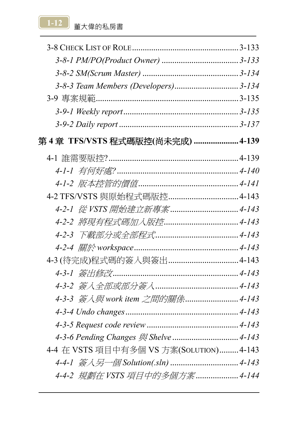1-12 **董大偉的私房書** 

| 3-8-3 Team Members (Developers) 3-134    |  |
|------------------------------------------|--|
|                                          |  |
|                                          |  |
|                                          |  |
| 第 4 章 TFS/VSTS 程式碼版控(尚未完成)  4-139        |  |
|                                          |  |
|                                          |  |
|                                          |  |
|                                          |  |
|                                          |  |
|                                          |  |
|                                          |  |
|                                          |  |
|                                          |  |
|                                          |  |
|                                          |  |
| 4-3-3 簽入與 work item 之間的關係 4-143          |  |
|                                          |  |
|                                          |  |
|                                          |  |
| 4-4 在 VSTS 項目中有多個 VS 方案(SOLUTION)  4-143 |  |
|                                          |  |
| 4-4-2 規劃在 VSTS 項目中的多個方案 4-144            |  |
|                                          |  |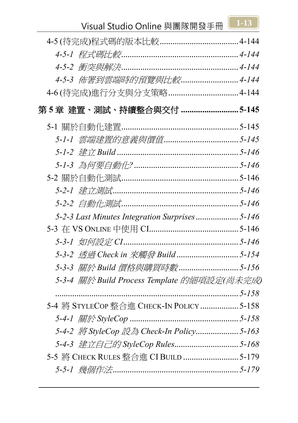

## Visual Studio Online 與團隊開發手冊 **1-13**

| 4-5-3 佈署到雲端時的預覽與比較 4-144                       |  |
|------------------------------------------------|--|
|                                                |  |
| 第5章 建置、測試、持續整合與交付 5-145                        |  |
|                                                |  |
|                                                |  |
|                                                |  |
|                                                |  |
|                                                |  |
|                                                |  |
|                                                |  |
| 5-2-3 Last Minutes Integration Surprises 5-146 |  |
|                                                |  |
|                                                |  |
| 5-3-2 透過 Check in 來觸發 Build 5-154              |  |
|                                                |  |
| 5-3-4 關於 Build Process Template 的細項設定(尚未完成)    |  |
|                                                |  |
| 5-4 將 STYLECOP 整合進 CHECK-IN POLICY  5-158      |  |
|                                                |  |
| 5-4-2 將 StyleCop 設為 Check-In Policy 5-163      |  |
|                                                |  |
| 5-5 將 CHECK RULES 整合進 CI BUILD  5-179          |  |
|                                                |  |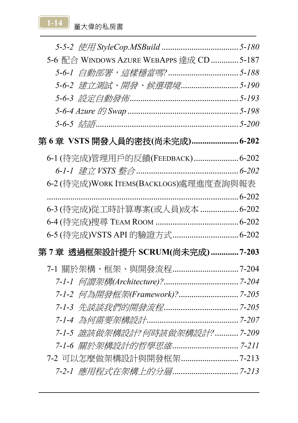

| 5-6 配合 WINDOWS AZURE WEBAPPS 達成 CD 5-187                  |  |
|-----------------------------------------------------------|--|
|                                                           |  |
| 5-6-2 建立測試、開發、候選環境5-190                                   |  |
|                                                           |  |
|                                                           |  |
| 5-6-5 $\frac{d}{d\theta}$ 5-6-5 $\frac{d}{d\theta}$ 5-200 |  |
| 第6章 VSTS 開發人員的密技(尚未完成) 6-202                              |  |
| 6-1 (待完成)管理用戶的反饋(FEEDBACK) 6-202                          |  |
|                                                           |  |
| 6-2 (待完成)WORK ITEMS(BACKLOGS)處理進度查詢與報表                    |  |
|                                                           |  |
| 6-3 (待完成)從工時計算專案(或人員)成本  6-202                            |  |
|                                                           |  |
|                                                           |  |
| 第7章 透過框架設計提升 SCRUM(尚未完成)7-203                             |  |
|                                                           |  |
|                                                           |  |
|                                                           |  |
|                                                           |  |
|                                                           |  |
| 7-1-5 誰該做架構設計?何時該做架構設計? 7-209                             |  |
|                                                           |  |
|                                                           |  |
|                                                           |  |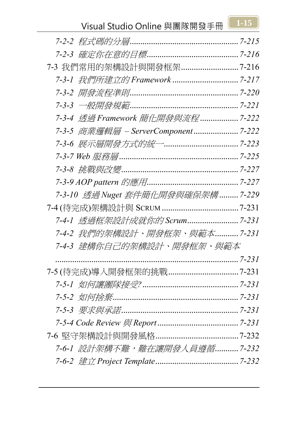

## Visual Studio Online 與團隊開發手冊 **1-15**

| 7-3 我們常用的架構設計與開發框架 7-216            |  |
|-------------------------------------|--|
|                                     |  |
|                                     |  |
|                                     |  |
| 7-3-4 透過 Framework 簡化開發與流程 7-222    |  |
| 7-3-5 商業邏輯層 – ServerComponent 7-222 |  |
|                                     |  |
|                                     |  |
|                                     |  |
|                                     |  |
| 7-3-10 透過 Nuget 套件簡化開發與確保架構 7-229   |  |
|                                     |  |
|                                     |  |
| 7-4-2 我們的架構設計、開發框架、與範本 7-231        |  |
| 7-4-3 建構你自己的架構設計、開發框架、與範本           |  |
|                                     |  |
|                                     |  |
|                                     |  |
|                                     |  |
|                                     |  |
|                                     |  |
|                                     |  |
| 7-6-1 設計架構不難,難在讓開發人員遵循 7-232        |  |
|                                     |  |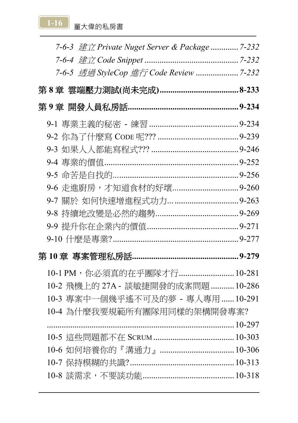[1-16]<br>董大偉的私房書

| 7-6-3 建立 Private Nuget Server & Package  7-232 |  |
|------------------------------------------------|--|
|                                                |  |
|                                                |  |
|                                                |  |
|                                                |  |
|                                                |  |
|                                                |  |
|                                                |  |
|                                                |  |
|                                                |  |
|                                                |  |
|                                                |  |
|                                                |  |
|                                                |  |
|                                                |  |
|                                                |  |
| 10-1 PM, 你必須真的在乎團隊才行 10-281                    |  |
| 10-2 飛機上的 27A - 談敏捷開發的成案問題  10-286             |  |
| 10-3 專案中一個幾乎遙不可及的夢 - 專人專用  10-291              |  |
| 10-4 為什麼我要規範所有團隊用同樣的架構開發專案?                    |  |
|                                                |  |
|                                                |  |
| 10-6 如何培養你的『溝通力』…………………………… 10-306             |  |
|                                                |  |
|                                                |  |
|                                                |  |